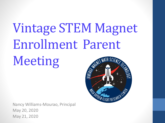# Vintage STEM Magnet Enrollment Parent

Meeting

Nancy Williams-Mourao, Principal May 20, 2020 May 21, 2020

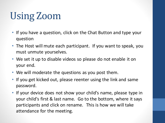## Using Zoom

- If you have a question, click on the Chat Button and type your question
- The Host will mute each participant. If you want to speak, you must unmute yourselves.
- We set it up to disable videos so please do not enable it on your end.
- We will moderate the questions as you post them.
- If you get kicked out, please reenter using the link and same password.
- If your device does not show your child's name, please type in your child's first & last name. Go to the bottom, where it says participants and click on rename. This is how we will take attendance for the meeting.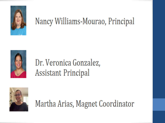

#### Nancy Williams-Mourao, Principal



#### Dr. Veronica Gonzalez, **Assistant Principal**



Martha Arias, Magnet Coordinator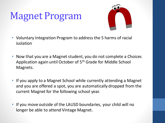## Magnet Program



- Voluntary Integration Program to address the 5 harms of racial isolation
- Now that you are a Magnet student, you do not complete a Choices Application again until October of 5th Grade for Middle School Magnets.
- If you apply to a Magnet School while currently attending a Magnet and you are offered a spot, you are automatically dropped from the current Magnet for the following school year.
- If you move outside of the LAUSD boundaries, your child will no longer be able to attend Vintage Magnet.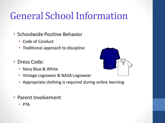### General School Information

- Schoolwide Positive Behavior
	- Code of Conduct
	- Traditional approach to discipline
- Dress Code:
	- Navy Blue & White
	- Vintage Logowear & NASA Logowear
	- Appropriate clothing is required during online learning
- Parent Involvement
	- PTA

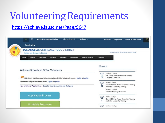### Volunteering Requirements

#### <https://achieve.lausd.net/Page/9647>

| <b>About Los Angeles Unified</b><br>Find a School<br>Offices <<br>$\Omega$<br>▥<br><b>Classic View</b>         | <b>Board of Education</b><br><b>Families</b><br><b>Employees</b>                          |
|----------------------------------------------------------------------------------------------------------------|-------------------------------------------------------------------------------------------|
| LOS ANGELES UNIFIED SCHOOL DISTRICT<br><b>PARENT AND COMMUNITY SERVICES</b>                                    | PTICITIB (213) 461-3300 FBX (213) 461-3392                                                |
| <b>Tools for Schools</b><br>Community<br>Parents<br><b>Volunteers</b><br>Committees<br>Home<br><b>Students</b> | <b>Contact Us</b>                                                                         |
|                                                                                                                | Events                                                                                    |
| Welcome School and Office Volunteers                                                                           | 10:00am - 1:00pm<br>MAY                                                                   |
| BUL-6746.2 - Establishing and Administering School/Office Volunteer Programs - English & Spanish               | 4th Annual Local District East - Family.<br>College & Career Fair                         |
| On-Demand Safety Volunteer Application - English & Spanish                                                     | 9:00am - 2:00pm<br>MAY                                                                    |
|                                                                                                                |                                                                                           |
| How to Rollover Applications - Guide for Volunteer Admin and Designees                                         | <b>Central District Parent Committee Training</b><br>6<br>Institute - Leadership Training |
|                                                                                                                | 9:00am - 12:00pm<br>Title I Stufy Group LD Central                                        |
| <b>Application Process</b>                                                                                     | 9:00am - 2:00pm<br>MAY                                                                    |
|                                                                                                                | <b>Central District Parent Committee Training</b><br>Institute - Leadership Training      |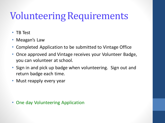### Volunteering Requirements

- TB Test
- Meagan's Law
- Completed Application to be submitted to Vintage Office
- Once approved and Vintage receives your Volunteer Badge, you can volunteer at school.
- Sign in and pick up badge when volunteering. Sign out and return badge each time.
- Must reapply every year

• One day Volunteering Application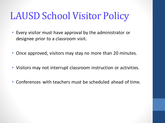### LAUSD School Visitor Policy

- Every visitor must have approval by the administrator or designee prior to a classroom visit.
- Once approved, visitors may stay no more than 20 minutes.
- Visitors may not interrupt classroom instruction or activities.
- Conferences with teachers must be scheduled ahead of time.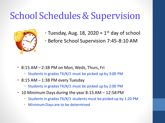#### School Schedules & Supervision



- Tuesday, Aug. 18, 2020 =  $1<sup>st</sup>$  day of school
- Before School Supervision 7:45-8:10 AM

- 8:15 AM 2:38 PM on Mon, Weds, Thurs, Fri
	- Students in grades TK/K/1 must be picked up by 3:00 PM
- 8:15 AM 1:38 PM every Tuesday
	- Students in grades TK/K/1 must be picked up by 2:00 PM
- 10 Minimum Days during the year  $8:15$  AM  $-$  12:58 PM
	- Students in grades TK/K/1 students must be picked up by 1:20 PM
	- Minimum Days are to be determined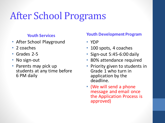## After School Programs

#### **Youth Services**

- After School Playground
- 2 coaches
- Grades 2-5
- No sign-out
- Parents may pick up students at any time before 6 PM daily

#### **Youth Development Program**

- YDP
- 100 spots, 4 coaches
- Sign-out 5:45-6:00 daily
- 80% attendance required
- Priority given to students in Grade 1 who turn in application by the deadline.
- (We will send a phone message and email once the Application Process is approved)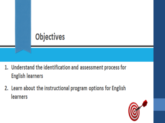

- 1. Understand the identification and assessment process for **English learners**
- 2. Learn about the instructional program options for English learners

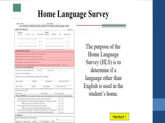## **Home Language Survey**

**FLOOD STARK** LOS ANGELES UNFIED SCHOOL DISTRICT STUDENT ENROLLMENT FORM **LEKKING INFORMATION funitivit Burlanta** Lashberg distinguism  $0 - 3$ 日に言  $0<sup>2</sup>$  $0.1$  $0.3$ **INTER LANDIAGE SUTHET** McEargain Attrovisies last wee la in de lan boar link? the equip but his start me to provide in label. We argue it in an text to pain it count to blow? Machinera add of beautiful conditions of substitutions. In the state formed are tarted by or large as whether fillows, gooding mading or wides? (2) the 12 for PERMIT NASA PROBATION The state I previous standal (Te small | 12 Yea Life) 1 min when? Day # RX 15, VRA VIORING Peak Mileton s/XIII WAY, KIYINE TOOK UP 6731, FALKSIN New claims **Clu One Shub pade bootive!** Data stended Diftas **Data chairs** Baim of school My pak took? Not powint produces at wheel any other advance to busine getex Limited Screet Detroit 15 Year (Ethic Young president manifest and the V situal attential in the Darmit State if allow best awest Mali può institi". SPECIAL DEPARED it so we power relicante your ste v between wind. "No to hand it for 20th laws boat" A DO by raciet worry special educator problem at third around at left CITAL CITAL 8. Do the clushed false art inprediction of thusine interpret and the second school. (21 Year 12 Year FMM, to pursua a copy difficultation for with pic-C/M (186 C. Did Asi a lucent from a Sector: CO. Plan at hollar prevenue select? 294.346 FREE, to real term a lease of the engine to Dection 100 Plannells trac? 0 Fax 3 No. D. Data the shalent have diffusions mat interface with higher paties and an exchanged. 23 Year 13 Year E. No this student been identified for all back a student of a backbasi names in (DATEY) 33704 3766 **G. SIGNATURE** I verify that finis Internation is fruit and constall MAILIN DE CHICATAIN - 11 INVIATI CLICK GUIDAN (I) CT69

**STATISTICS** 

The purpose of the Home Language Survey (HLS) is to determine if a language other than English is used in the student's home.

**Handout**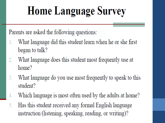## **Home Language Survey**

Parents are asked the following questions:

- What language did this student learn when he or she first began to talk?
- What language does this student most frequently use at  $2.$ home?
- What language do you use most frequently to speak to this 3. student?
- Which language is most often used by the adults at home? 4.
- Has this student received any formal English language 5. instruction (listening, speaking, reading, or writing)?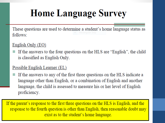### **Home Language Survey**

These questions are used to determine a student's home language status as follows:

#### English Only (EO)

If the answers to the four questions on the HLS are "English", the child is classified as English Only.

#### Possible English Learner (EL)

If the answers to any of the first three questions on the HLS indicate a language other than English, or a combination of English and another language, the child is assessed to measure his or her level of English proficiency.

If the parent's response to the first three questions on the HLS is English, and the response to the fourth question is other than English, then reasonable doubt may exist as to the student's home language.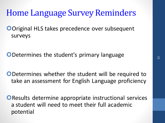#### Home Language Survey Reminders

**ODriginal HLS takes precedence over subsequent** surveys

ODetermines the student's primary language

ODetermines whether the student will be required to take an assessment for English Language proficiency

**OResults determine appropriate instructional services** a student will need to meet their full academic potential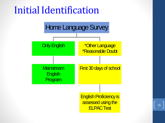#### Initial Identification



16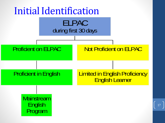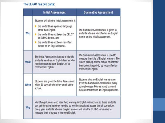#### The ELPAC has two parts:

|      | <b>Initial Assessment</b>                                                                                                                                                                                                                                                                                      | <b>Summative Assessment</b>                                                                                                                                                                                    |
|------|----------------------------------------------------------------------------------------------------------------------------------------------------------------------------------------------------------------------------------------------------------------------------------------------------------------|----------------------------------------------------------------------------------------------------------------------------------------------------------------------------------------------------------------|
| Who  | Students will take the Initial Assessment if:<br>the student has a primary language<br>other than English.<br>the student has not taken the CELDT<br>or ELPAC before, and<br>the student has not been classified<br>before as an English learner.                                                              | The Summative Assessment is given to<br>students who are identified as an English<br>learner on the Initial Assessment.                                                                                        |
| What | The Initial Assessment is used to identify<br>students as either an English learner who<br>needs support to learn English, or as<br>proficient in English.                                                                                                                                                     | The Summative Assessment is used to<br>measure the skills of English learners. The<br>results will help tell the school or district if<br>the student is ready to be reclassified as<br>proficient in English. |
| When | Students are given the Initial Assessment<br>within 30 days of when they enroll at the<br>school.                                                                                                                                                                                                              | Students who are English learners are<br>given the Summative Assessment every<br>spring between February and May until<br>they are reclassified as English proficient.                                         |
| WW   | Identifying students who need help learning in English is important so these students<br>can get the extra help they need to do well in school and access the full curriculum.<br>Every year students who are English learners will take the ELPAC summative to<br>measure their progress in learning English. |                                                                                                                                                                                                                |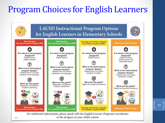#### Program Choices for English Learners



or the designee at your child's school.

19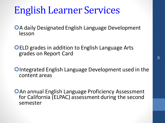### English Learner Services

**OA daily Designated English Language Development** lesson

**OELD grades in addition to English Language Arts** grades on Report Card

**OIntegrated English Language Development used in the** content areas

**OAn annual English Language Proficiency Assessment** for California (ELPAC) assessment during the second semester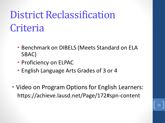## District Reclassification Criteria

- Benchmark on DIBELS (Meets Standard on ELA SBAC)
- Proficiency on ELPAC
- English Language Arts Grades of 3 or 4
- Video on Program Options for English Learners: https://achieve.lausd.net/Page/172#spn-content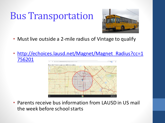### Bus Transportation



- Must live outside a 2-mile radius of Vintage to qualify
- [http://echoices.lausd.net/Magnet/Magnet\\_Radius?cc=1](http://echoices.lausd.net/Magnet/Magnet_Radius?cc=1756201) 756201



• Parents receive bus information from LAUSD in US mail the week before school starts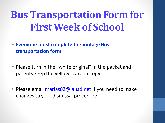## **Bus Transportation Form for First Week of School**

- **Everyone must complete the Vintage Bus transportation form**
- Please turn in the "white original" in the packet and parents keep the yellow "carbon copy."
- Please email [marias02@lausd.net](mailto:marias02@lausd.net) if you need to make changes to your dismissal procedure.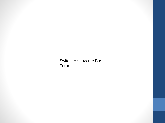Switch to show the Bus Form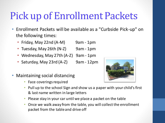### Pick up of Enrollment Packets

- Enrollment Packets will be available as a "Curbside Pick-up" on the following times:
	- Friday, May 22nd  $(A-M)$  9am 1pm
	- Tuesday, May 26th (N-Z) 9am 1pm
	- Wednesday, May 27th (A-Z) 9am 1pm
	- Saturday, May 23rd  $(A-Z)$  9am 12pm
- Maintaining social distancing
	- Face coverings required



- Pull up to the school Sign and show us a paper with your child's first & last name written in large letters
- Please stay in your car until we place a packet on the table
- Once we walk away from the table, you will collect the enrollment packet from the table and drive off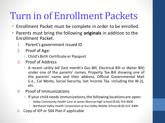### Turn in of Enrollment Packets

- Enrollment Packet must be complete in order to be enrolled.
- Parents must bring the following **originals** in addition to the Enrollment Packet.
	- 1. Parent's government issued ID
	- 2. Proof of Age:
		- Child's Birth Certificate or Passport
	- 3. Proof of Address
		- A recent utility bill (last month's Gas Bill, Electrical Bill or Water Bill) under one of the parents' names, Property Tax Bill showing one of the parents' name and their address, Official Governmental Mail (i.e., Cal Works, Social Security, last Income Tax, including the W-2), etc.
	- 4. Proof of Immunizations
		- If your child needs immunizations, the following locations are open:
			- Valley Community Health Care at James Monroe High School (818) 763-8836
			- Northeast Valley Health Corporation at Sun Valley Middle School (818) 432-4400
	- 5. Copy of IEP or 504 Plan if applicable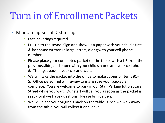### Turn in of Enrollment Packets

#### • Maintaining Social Distancing

- Face coverings required
- Pull up to the school Sign and show us a paper with your child's first & last name written in large letters, along with your cell phone number.
- Please place your completed packet on the table (with #1-5 from the previous slide) and paper with your child's name and your cell phone #. Then get back in your car and wait.
- We will take the packet into the office to make copies of items #1- 5. Office personnel will review to make sure your packet is complete. You are welcome to park in our Staff Parking lot on Stare Street while you wait. Our staff will call you as soon as the packet is ready or if we have questions. Please bring a pen.
- We will place your originals back on the table. Once we walk away from the table, you will collect it and leave.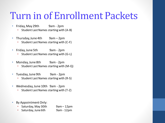### Turn in of Enrollment Packets

- Friday, May 29th 9am 2pm
	- Student Last Names starting with (A-B)
- Thursday, June 4th 9am 2pm
	- Student Last Names starting with (C-F)
- Friday, June 5th 9am 2pm
	- Student Last Names starting with (G-L)
- Monday, June 8th 9am 2pm
	- Student Last Names starting with (M-Q)
- Tuesday, June 9th 9am 2pm
	- Student Last Names starting with (R-S)
- Wednesday, June 10th 9am 2pm
	- Student Last Names starting with (T-Z)
- By Appointment Only:
	- Saturday, May 30th 9am 12pm
	- Saturday, June 6th 9am 12pm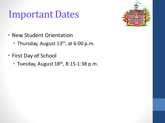### Important Dates



- New Student Orientation
	- Thursday, August 13<sup>th</sup>, at 6:00 p.m.
- First Day of School
	- Tuesday, August  $18<sup>th</sup>$ , 8:15-1:38 p.m.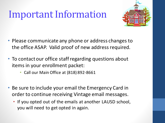### Important Information



- Please communicate any phone or address changes to the office ASAP. Valid proof of new address required.
- To contact our office staff regarding questions about items in your enrollment packet:
	- Call our Main Office at (818) 892-8661
- Be sure to include your email the Emergency Card in order to continue receiving Vintage email messages.
	- If you opted out of the emails at another LAUSD school, you will need to get opted in again.